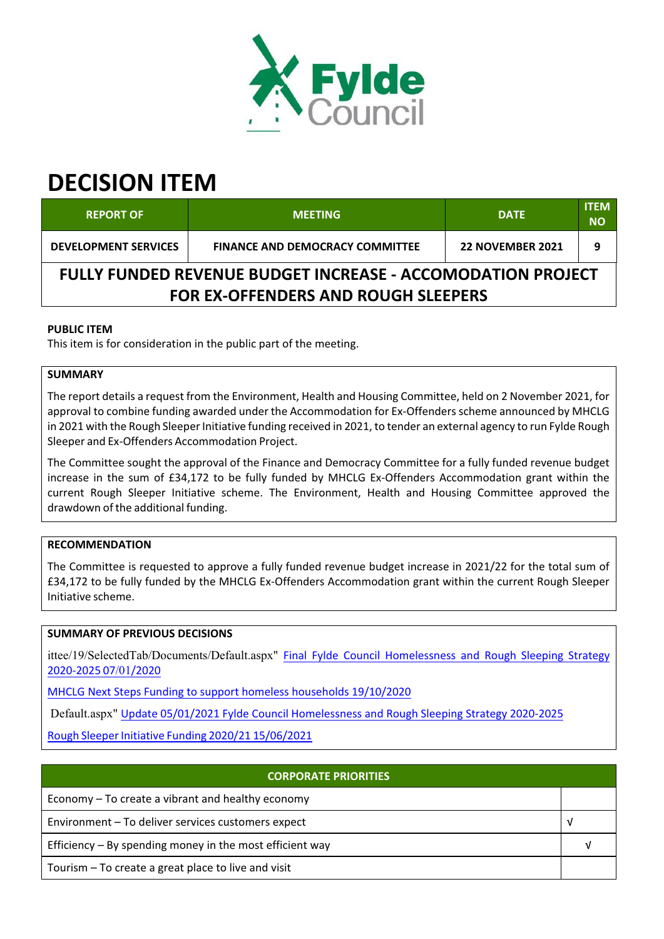

# **DECISION ITEM**

| <b>REPORT OF</b>                                                                                                 | <b>MEETING</b>                         | <b>DATE</b>             | <b>ITEM</b><br><b>NO</b> |  |  |  |
|------------------------------------------------------------------------------------------------------------------|----------------------------------------|-------------------------|--------------------------|--|--|--|
| <b>DEVELOPMENT SERVICES</b>                                                                                      | <b>FINANCE AND DEMOCRACY COMMITTEE</b> | <b>22 NOVEMBER 2021</b> |                          |  |  |  |
| <b>FULLY FUNDED REVENUE BUDGET INCREASE - ACCOMODATION PROJECT</b><br><b>FOR EX-OFFENDERS AND ROUGH SLEEPERS</b> |                                        |                         |                          |  |  |  |

# **PUBLIC ITEM**

This item is for consideration in the public part of the meeting.

### **SUMMARY**

The report details a request from the Environment, Health and Housing Committee, held on 2 November 2021, for approval to combine funding awarded under the Accommodation for Ex-Offenders scheme announced by MHCLG in 2021 with the Rough Sleeper Initiative funding received in 2021, to tender an external agency to run Fylde Rough Sleeper and Ex‐Offenders Accommodation Project.

The Committee sought the approval of the Finance and Democracy Committee for a fully funded revenue budget increase in the sum of £34,172 to be fully funded by MHCLG Ex-Offenders Accommodation grant within the current Rough Sleeper Initiative scheme. The Environment, Health and Housing Committee approved the drawdown of the additional funding.

# **RECOMMENDATION**

The Committee is requested to approve a fully funded revenue budget increase in 2021/22 for the total sum of £34,172 to be fully funded by the MHCLG Ex‐Offenders Accommodation grant within the current Rough Sleeper Initiative scheme.

#### **SUMMARY OF PREVIOUS DECISIONS**

ittee/19/SelectedTab/Documents/Default.aspx" Final Fylde Council Homelessness and Rough Sleeping Strategy 2020‐2025 07/01/2020

MHCLG Next Steps Funding to support homeless households 19/10/2020

Default.aspx" Update 05/01/2021 Fylde Council Homelessness and Rough Sleeping Strategy 2020‐2025

Rough Sleeper Initiative Funding 2020/21 15/06/2021

| <b>CORPORATE PRIORITIES</b>                                |  |  |  |
|------------------------------------------------------------|--|--|--|
| Economy – To create a vibrant and healthy economy          |  |  |  |
| Environment - To deliver services customers expect         |  |  |  |
| Efficiency $-$ By spending money in the most efficient way |  |  |  |
| Tourism – To create a great place to live and visit        |  |  |  |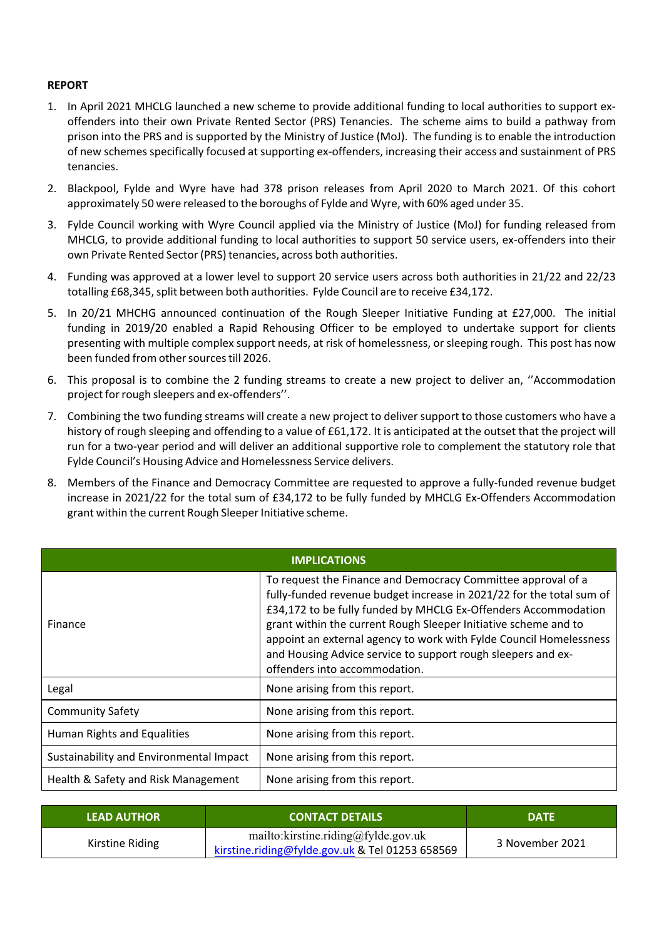### **REPORT**

- 1. In April 2021 MHCLG launched a new scheme to provide additional funding to local authorities to support ex‐ offenders into their own Private Rented Sector (PRS) Tenancies. The scheme aims to build a pathway from prison into the PRS and is supported by the Ministry of Justice (MoJ). The funding is to enable the introduction of new schemes specifically focused at supporting ex‐offenders, increasing their access and sustainment of PRS tenancies.
- 2. Blackpool, Fylde and Wyre have had 378 prison releases from April 2020 to March 2021. Of this cohort approximately 50 were released to the boroughs of Fylde and Wyre, with 60% aged under 35.
- 3. Fylde Council working with Wyre Council applied via the Ministry of Justice (MoJ) for funding released from MHCLG, to provide additional funding to local authorities to support 50 service users, ex‐offenders into their own Private Rented Sector(PRS) tenancies, across both authorities.
- 4. Funding was approved at a lower level to support 20 service users across both authorities in 21/22 and 22/23 totalling £68,345, split between both authorities. Fylde Council are to receive £34,172.
- 5. In 20/21 MHCHG announced continuation of the Rough Sleeper Initiative Funding at £27,000. The initial funding in 2019/20 enabled a Rapid Rehousing Officer to be employed to undertake support for clients presenting with multiple complex support needs, at risk of homelessness, or sleeping rough. This post has now been funded from other sources till 2026.
- 6. This proposal is to combine the 2 funding streams to create a new project to deliver an, ''Accommodation project for rough sleepers and ex-offenders".
- 7. Combining the two funding streams will create a new project to deliver support to those customers who have a history of rough sleeping and offending to a value of £61,172. It is anticipated at the outset that the project will run for a two‐year period and will deliver an additional supportive role to complement the statutory role that Fylde Council's Housing Advice and Homelessness Service delivers.
- 8. Members of the Finance and Democracy Committee are requested to approve a fully-funded revenue budget increase in 2021/22 for the total sum of £34,172 to be fully funded by MHCLG Ex‐Offenders Accommodation grant within the current Rough Sleeper Initiative scheme.

| <b>IMPLICATIONS</b>                     |                                                                                                                                                                                                                                                                                                                                                                                                                                                  |  |  |  |
|-----------------------------------------|--------------------------------------------------------------------------------------------------------------------------------------------------------------------------------------------------------------------------------------------------------------------------------------------------------------------------------------------------------------------------------------------------------------------------------------------------|--|--|--|
| Finance                                 | To request the Finance and Democracy Committee approval of a<br>fully-funded revenue budget increase in 2021/22 for the total sum of<br>£34,172 to be fully funded by MHCLG Ex-Offenders Accommodation<br>grant within the current Rough Sleeper Initiative scheme and to<br>appoint an external agency to work with Fylde Council Homelessness<br>and Housing Advice service to support rough sleepers and ex-<br>offenders into accommodation. |  |  |  |
| Legal                                   | None arising from this report.                                                                                                                                                                                                                                                                                                                                                                                                                   |  |  |  |
| <b>Community Safety</b>                 | None arising from this report.                                                                                                                                                                                                                                                                                                                                                                                                                   |  |  |  |
| Human Rights and Equalities             | None arising from this report.                                                                                                                                                                                                                                                                                                                                                                                                                   |  |  |  |
| Sustainability and Environmental Impact | None arising from this report.                                                                                                                                                                                                                                                                                                                                                                                                                   |  |  |  |
| Health & Safety and Risk Management     | None arising from this report.                                                                                                                                                                                                                                                                                                                                                                                                                   |  |  |  |

| <b>LEAD AUTHOR</b>                                                                                         | <b>CONTACT DETAILS</b> |                 |
|------------------------------------------------------------------------------------------------------------|------------------------|-----------------|
| mailto: kirstine.riding@fylde.gov.uk<br>Kirstine Riding<br>kirstine.riding@fylde.gov.uk & Tel 01253 658569 |                        | 3 November 2021 |